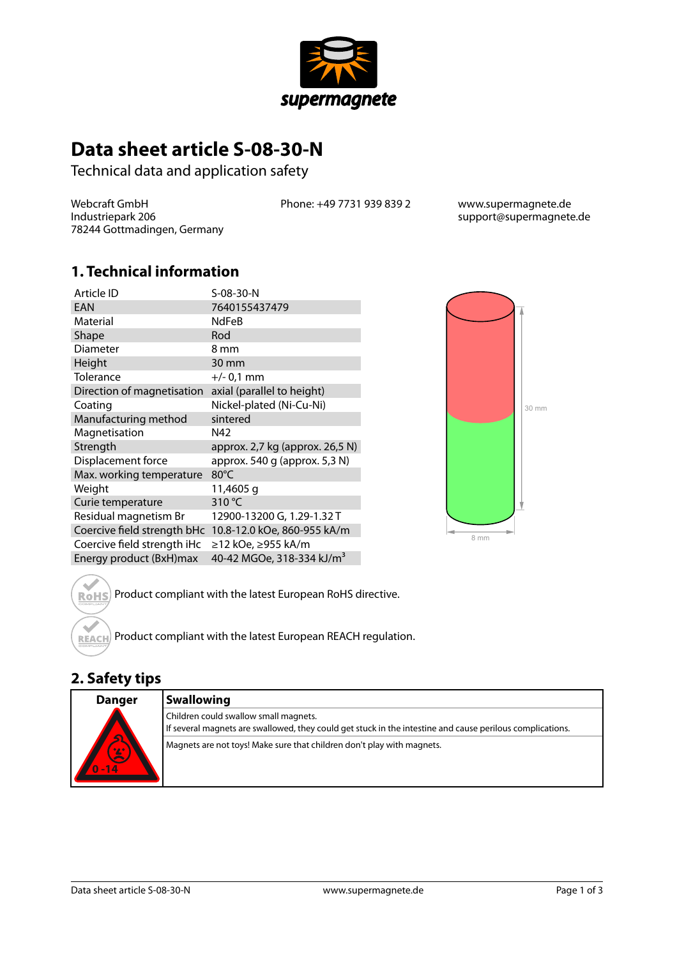

# **Data sheet article S-08-30-N**

Technical data and application safety

Webcraft GmbH Industriepark 206 78244 Gottmadingen, Germany Phone: +49 7731 939 839 2 www.supermagnete.de

support@supermagnete.de

### **1. Technical information**

| Article ID                  | S-08-30-N                       |
|-----------------------------|---------------------------------|
| EAN                         | 7640155437479                   |
| Material                    | <b>NdFeB</b>                    |
| Shape                       | Rod                             |
| Diameter                    | 8 mm                            |
| Height                      | 30 mm                           |
| Tolerance                   | $+/- 0.1$ mm                    |
| Direction of magnetisation  | axial (parallel to height)      |
| Coating                     | Nickel-plated (Ni-Cu-Ni)        |
| Manufacturing method        | sintered                        |
|                             |                                 |
| Magnetisation               | N42                             |
| Strength                    | approx. 2,7 kg (approx. 26,5 N) |
| Displacement force          | approx. 540 g (approx. 5,3 N)   |
| Max. working temperature    | $80^{\circ}$ C                  |
| Weight                      | 11,4605 g                       |
| Curie temperature           | 310 °C                          |
| Residual magnetism Br       | 12900-13200 G, 1.29-1.32 T      |
| Coercive field strength bHc | 10.8-12.0 kOe, 860-955 kA/m     |
| Coercive field strength iHc | ≥12 kOe, ≥955 kA/m              |



ROHS<sup>)</sup> Product compliant with the latest European RoHS directive.

Product compliant with the latest European REACH regulation.

### **2. Safety tips**

**REACH** 

| <b>Danger</b>                              | <b>Swallowing</b>                                                                                                                                  |
|--------------------------------------------|----------------------------------------------------------------------------------------------------------------------------------------------------|
| <b>A</b><br>$\sum_{n=1}^{\infty}$<br>$-14$ | Children could swallow small magnets.<br>If several magnets are swallowed, they could get stuck in the intestine and cause perilous complications. |
|                                            | Magnets are not toys! Make sure that children don't play with magnets.                                                                             |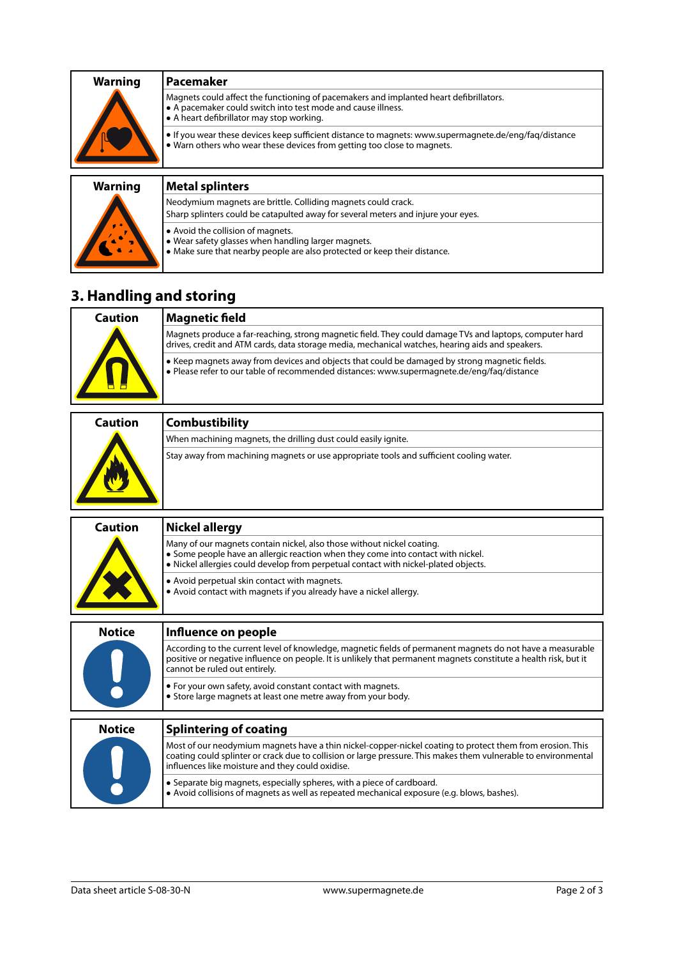| <b>Warning</b> | Pacemaker                                                                                                                                                                                           |
|----------------|-----------------------------------------------------------------------------------------------------------------------------------------------------------------------------------------------------|
|                | Magnets could affect the functioning of pacemakers and implanted heart defibrillators.<br>• A pacemaker could switch into test mode and cause illness.<br>• A heart defibrillator may stop working. |
|                | • If you wear these devices keep sufficient distance to magnets: www.supermagnete.de/eng/fag/distance<br>. Warn others who wear these devices from getting too close to magnets.                    |
|                |                                                                                                                                                                                                     |

#### **Warning Metal splinters**

Neodymium magnets are brittle. Colliding magnets could crack. Sharp splinters could be catapulted away for several meters and injure your eyes. **•** Avoid the collision of magnets. **•** Wear safety glasses when handling larger magnets. **•** Make sure that nearby people are also protected or keep their distance.

## **3. Handling and storing**

| Caution | <b>Magnetic field</b>                                                                                                                                                                                       |
|---------|-------------------------------------------------------------------------------------------------------------------------------------------------------------------------------------------------------------|
|         | Magnets produce a far-reaching, strong magnetic field. They could damage TVs and laptops, computer hard<br>drives, credit and ATM cards, data storage media, mechanical watches, hearing aids and speakers. |
|         | • Keep magnets away from devices and objects that could be damaged by strong magnetic fields.<br>• Please refer to our table of recommended distances: www.supermagnete.de/eng/fag/distance                 |

| <b>Caution</b> | <b>Combustibility</b>                                                                   |
|----------------|-----------------------------------------------------------------------------------------|
|                | When machining magnets, the drilling dust could easily ignite.                          |
|                | Stay away from machining magnets or use appropriate tools and sufficient cooling water. |

| <b>Caution</b> | <b>Nickel allergy</b>                                                                                                                                                                                                                                                            |
|----------------|----------------------------------------------------------------------------------------------------------------------------------------------------------------------------------------------------------------------------------------------------------------------------------|
|                | Many of our magnets contain nickel, also those without nickel coating.<br>• Some people have an allergic reaction when they come into contact with nickel.<br>• Nickel allergies could develop from perpetual contact with nickel-plated objects.                                |
|                | • Avoid perpetual skin contact with magnets.<br>• Avoid contact with magnets if you already have a nickel allergy.                                                                                                                                                               |
| <b>Notice</b>  | Influence on people                                                                                                                                                                                                                                                              |
| $\mathbf{L}$   | According to the current level of knowledge, magnetic fields of permanent magnets do not have a measurable<br>positive or negative influence on people. It is unlikely that permanent magnets constitute a health risk, but it<br>cannot be ruled out entirely.                  |
|                | • For your own safety, avoid constant contact with magnets.<br>• Store large magnets at least one metre away from your body.                                                                                                                                                     |
| <b>Notice</b>  | <b>Splintering of coating</b>                                                                                                                                                                                                                                                    |
|                | Most of our neodymium magnets have a thin nickel-copper-nickel coating to protect them from erosion. This<br>coating could splinter or crack due to collision or large pressure. This makes them vulnerable to environmental<br>influences like moisture and they could oxidise. |
|                | • Separate big magnets, especially spheres, with a piece of cardboard.<br>• Avoid collisions of magnets as well as repeated mechanical exposure (e.g. blows, bashes).                                                                                                            |